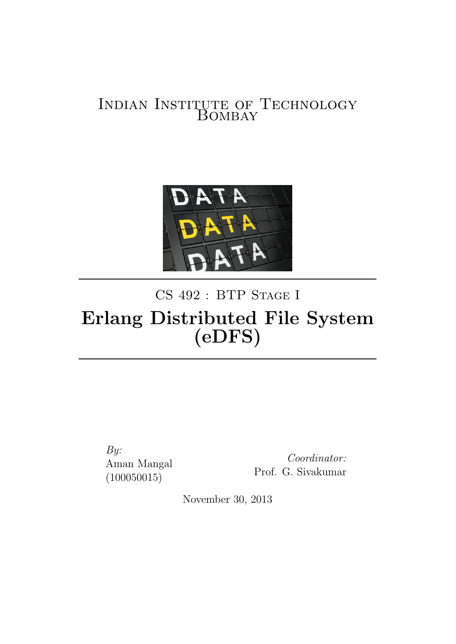## Indian Institute of Technology LUTE OF<br>BOMBAY



# CS 492 : BTP STAGE I Erlang Distributed File System (eDFS)

By: Aman Mangal (100050015)

Coordinator: Prof. G. Sivakumar

November 30, 2013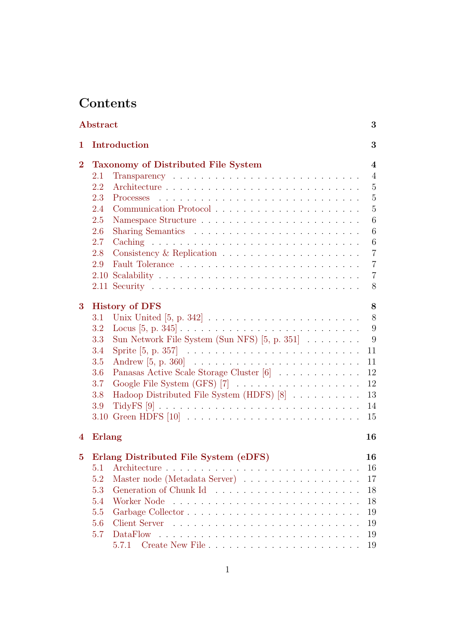## Contents

|                | Abstract |                                                                                   | 3              |
|----------------|----------|-----------------------------------------------------------------------------------|----------------|
| 1              |          | Introduction                                                                      | 3              |
| $\overline{2}$ |          | Taxonomy of Distributed File System                                               | 4              |
|                | 2.1      |                                                                                   | $\overline{4}$ |
|                | 2.2      |                                                                                   | $\mathbf 5$    |
|                | 2.3      | Processes                                                                         | $\overline{5}$ |
|                | 2.4      |                                                                                   | $\overline{5}$ |
|                | 2.5      |                                                                                   | 6              |
|                | 2.6      |                                                                                   | 6              |
|                | 2.7      |                                                                                   | 6              |
|                | 2.8      |                                                                                   | $\overline{7}$ |
|                | 2.9      |                                                                                   | $\overline{7}$ |
|                |          |                                                                                   | $\overline{7}$ |
|                |          |                                                                                   | 8              |
| $\bf{3}$       |          | <b>History of DFS</b>                                                             | 8              |
|                | 3.1      | Unix United $[5, p. 342] \ldots \ldots \ldots \ldots \ldots \ldots \ldots \ldots$ | 8              |
|                | 3.2      |                                                                                   | 9              |
|                | 3.3      | Sun Network File System (Sun NFS) $[5, p. 351] \ldots \ldots$                     | 9              |
|                | 3.4      |                                                                                   | 11             |
|                | 3.5      |                                                                                   | 11             |
|                | 3.6      | Panasas Active Scale Storage Cluster [6]                                          | 12             |
|                | 3.7      | Google File System (GFS) [7]                                                      | 12             |
|                | 3.8      | Hadoop Distributed File System (HDFS) [8]                                         | 13             |
|                | 3.9      |                                                                                   | 14             |
|                | 3.10     |                                                                                   | 15             |
| 4              | Erlang   |                                                                                   | 16             |
| $\bf{5}$       |          | Erlang Distributed File System (eDFS)                                             | 16             |
|                | 5.1      |                                                                                   | 16             |
|                | 5.2      | Master node (Metadata Server)                                                     | 17             |
|                | 5.3      |                                                                                   | 18             |
|                | 5.4      |                                                                                   | 18             |
|                | 5.5      |                                                                                   | 19             |
|                | 5.6      |                                                                                   | 19             |
|                | 5.7      |                                                                                   | 19             |
|                |          | 5.7.1                                                                             | 19             |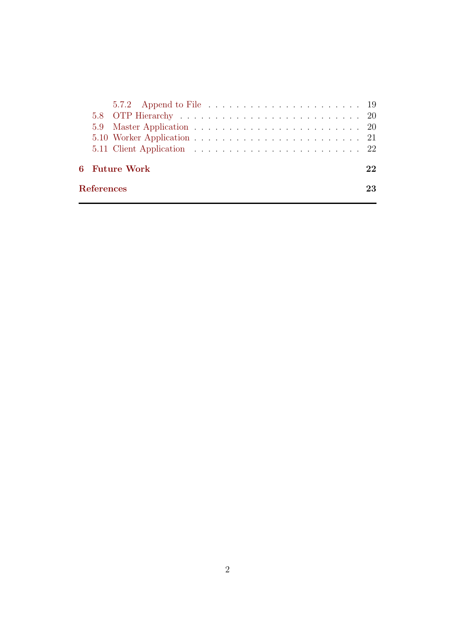|  | 6 - Future Work |  |  |  |  |  |  |  |  |  |  |  | 22 |
|--|-----------------|--|--|--|--|--|--|--|--|--|--|--|----|
|  |                 |  |  |  |  |  |  |  |  |  |  |  |    |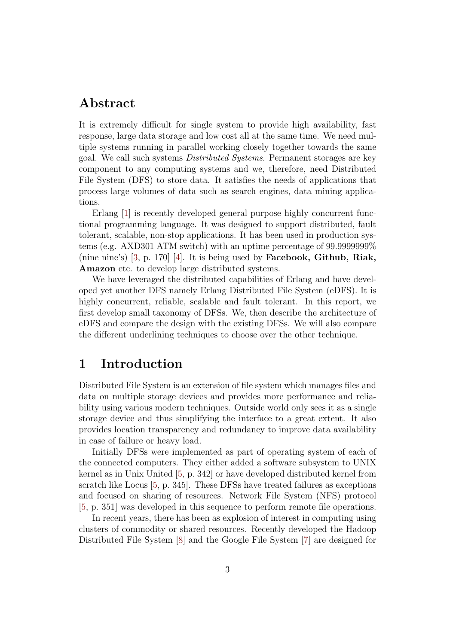## <span id="page-3-0"></span>Abstract

It is extremely difficult for single system to provide high availability, fast response, large data storage and low cost all at the same time. We need multiple systems running in parallel working closely together towards the same goal. We call such systems Distributed Systems. Permanent storages are key component to any computing systems and we, therefore, need Distributed File System (DFS) to store data. It satisfies the needs of applications that process large volumes of data such as search engines, data mining applications.

Erlang [\[1\]](#page-23-5) is recently developed general purpose highly concurrent functional programming language. It was designed to support distributed, fault tolerant, scalable, non-stop applications. It has been used in production systems (e.g. AXD301 ATM switch) with an uptime percentage of 99.9999999% (nine nine's)  $[3, p. 170]$  $[3, p. 170]$  [\[4\]](#page-23-7). It is being used by **Facebook, Github, Riak,** Amazon etc. to develop large distributed systems.

We have leveraged the distributed capabilities of Erlang and have developed yet another DFS namely Erlang Distributed File System (eDFS). It is highly concurrent, reliable, scalable and fault tolerant. In this report, we first develop small taxonomy of DFSs. We, then describe the architecture of eDFS and compare the design with the existing DFSs. We will also compare the different underlining techniques to choose over the other technique.

### <span id="page-3-1"></span>1 Introduction

Distributed File System is an extension of file system which manages files and data on multiple storage devices and provides more performance and reliability using various modern techniques. Outside world only sees it as a single storage device and thus simplifying the interface to a great extent. It also provides location transparency and redundancy to improve data availability in case of failure or heavy load.

Initially DFSs were implemented as part of operating system of each of the connected computers. They either added a software subsystem to UNIX kernel as in Unix United [\[5,](#page-23-0) p. 342] or have developed distributed kernel from scratch like Locus [\[5,](#page-23-0) p. 345]. These DFSs have treated failures as exceptions and focused on sharing of resources. Network File System (NFS) protocol [\[5,](#page-23-0) p. 351] was developed in this sequence to perform remote file operations.

In recent years, there has been as explosion of interest in computing using clusters of commodity or shared resources. Recently developed the Hadoop Distributed File System [\[8\]](#page-23-3) and the Google File System [\[7\]](#page-23-2) are designed for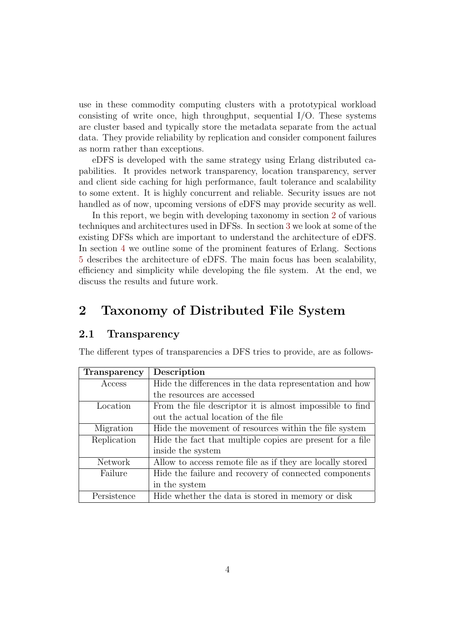use in these commodity computing clusters with a prototypical workload consisting of write once, high throughput, sequential  $I/O$ . These systems are cluster based and typically store the metadata separate from the actual data. They provide reliability by replication and consider component failures as norm rather than exceptions.

eDFS is developed with the same strategy using Erlang distributed capabilities. It provides network transparency, location transparency, server and client side caching for high performance, fault tolerance and scalability to some extent. It is highly concurrent and reliable. Security issues are not handled as of now, upcoming versions of eDFS may provide security as well.

In this report, we begin with developing taxonomy in section [2](#page-4-0) of various techniques and architectures used in DFSs. In section [3](#page-8-1) we look at some of the existing DFSs which are important to understand the architecture of eDFS. In section [4](#page-16-0) we outline some of the prominent features of Erlang. Sections [5](#page-16-1) describes the architecture of eDFS. The main focus has been scalability, efficiency and simplicity while developing the file system. At the end, we discuss the results and future work.

## <span id="page-4-0"></span>2 Taxonomy of Distributed File System

#### <span id="page-4-1"></span>2.1 Transparency

The different types of transparencies a DFS tries to provide, are as follows-

| Transparency   | Description                                               |
|----------------|-----------------------------------------------------------|
| Access         | Hide the differences in the data representation and how   |
|                | the resources are accessed                                |
| Location       | From the file descriptor it is almost impossible to find  |
|                | out the actual location of the file                       |
| Migration      | Hide the movement of resources within the file system     |
| Replication    | Hide the fact that multiple copies are present for a file |
|                | inside the system                                         |
| <b>Network</b> | Allow to access remote file as if they are locally stored |
| Failure        | Hide the failure and recovery of connected components     |
|                | in the system                                             |
| Persistence    | Hide whether the data is stored in memory or disk         |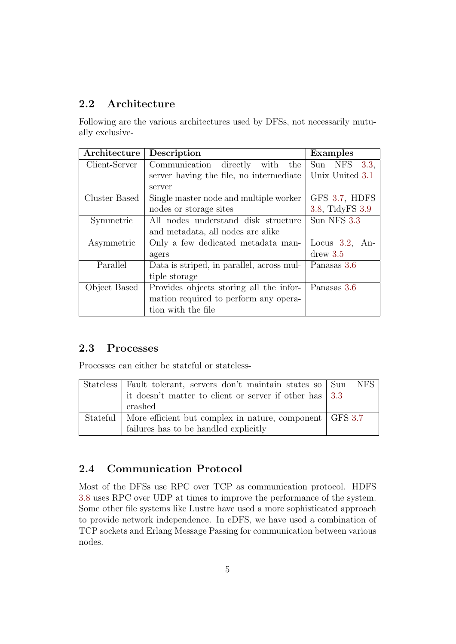## <span id="page-5-0"></span>2.2 Architecture

Following are the various architectures used by DFSs, not necessarily mutually exclusive-

| Architecture  | Description                               | Examples             |
|---------------|-------------------------------------------|----------------------|
| Client-Server | Communication directly<br>with<br>the     | Sun NFS<br>3.3,      |
|               | server having the file, no intermediate   | Unix United 3.1      |
|               | server                                    |                      |
| Cluster Based | Single master node and multiple worker    | GFS 3.7, HDFS        |
|               | nodes or storage sites                    | 3.8, TidyFS 3.9      |
| Symmetric     | All nodes understand disk structure       | Sun NFS 3.3          |
|               | and metadata, all nodes are alike         |                      |
| Asymmetric    | Only a few dedicated metadata man-        | Locus $3.2$ ,<br>An- |
|               | agers                                     | $d$ rew $3.5$        |
| Parallel      | Data is striped, in parallel, across mul- | Panasas 3.6          |
|               | tiple storage                             |                      |
| Object Based  | Provides objects storing all the infor-   | Panasas 3.6          |
|               | mation required to perform any opera-     |                      |
|               | tion with the file                        |                      |

#### <span id="page-5-1"></span>2.3 Processes

Processes can either be stateful or stateless-

| Stateless Fault tolerant, servers don't maintain states so Sun       | NFS. |
|----------------------------------------------------------------------|------|
| it doesn't matter to client or server if other has   3.3             |      |
| crashed                                                              |      |
| Stateful   More efficient but complex in nature, component   GFS 3.7 |      |
| failures has to be handled explicitly                                |      |

## <span id="page-5-2"></span>2.4 Communication Protocol

Most of the DFSs use RPC over TCP as communication protocol. HDFS [3.8](#page-13-0) uses RPC over UDP at times to improve the performance of the system. Some other file systems like Lustre have used a more sophisticated approach to provide network independence. In eDFS, we have used a combination of TCP sockets and Erlang Message Passing for communication between various nodes.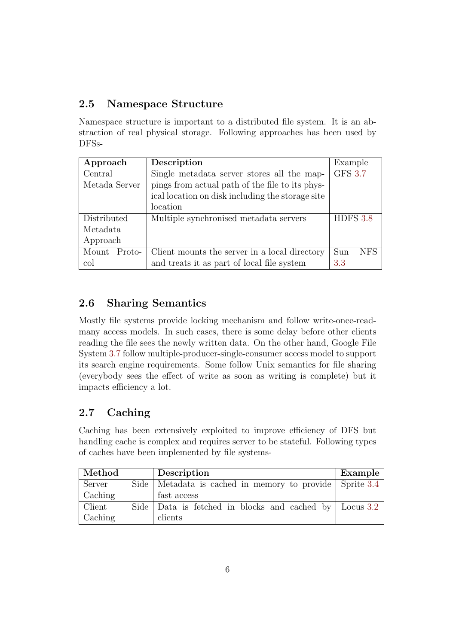## <span id="page-6-0"></span>2.5 Namespace Structure

Namespace structure is important to a distributed file system. It is an abstraction of real physical storage. Following approaches has been used by DFSs-

| Approach        | Description                                      | Example              |
|-----------------|--------------------------------------------------|----------------------|
| Central         | Single metadata server stores all the map-       | GFS $3.\overline{7}$ |
| Metada Server   | pings from actual path of the file to its phys-  |                      |
|                 | ical location on disk including the storage site |                      |
|                 | location                                         |                      |
| Distributed     | Multiple synchronised metadata servers           | HDFS 3.8             |
| Metadata        |                                                  |                      |
| Approach        |                                                  |                      |
| Mount<br>Proto- | Client mounts the server in a local directory    | <b>NFS</b><br>Sun    |
| col             | and treats it as part of local file system       | 3.3                  |

## <span id="page-6-1"></span>2.6 Sharing Semantics

Mostly file systems provide locking mechanism and follow write-once-readmany access models. In such cases, there is some delay before other clients reading the file sees the newly written data. On the other hand, Google File System [3.7](#page-12-1) follow multiple-producer-single-consumer access model to support its search engine requirements. Some follow Unix semantics for file sharing (everybody sees the effect of write as soon as writing is complete) but it impacts efficiency a lot.

## <span id="page-6-2"></span>2.7 Caching

Caching has been extensively exploited to improve efficiency of DFS but handling cache is complex and requires server to be stateful. Following types of caches have been implemented by file systems-

| Method  | Description                                                  | Example |
|---------|--------------------------------------------------------------|---------|
| Server  | Side   Metadata is cached in memory to provide   Sprite 3.4  |         |
| Caching | fast access                                                  |         |
| Client  | Side   Data is fetched in blocks and cached by   Locus $3.2$ |         |
| Caching | clients                                                      |         |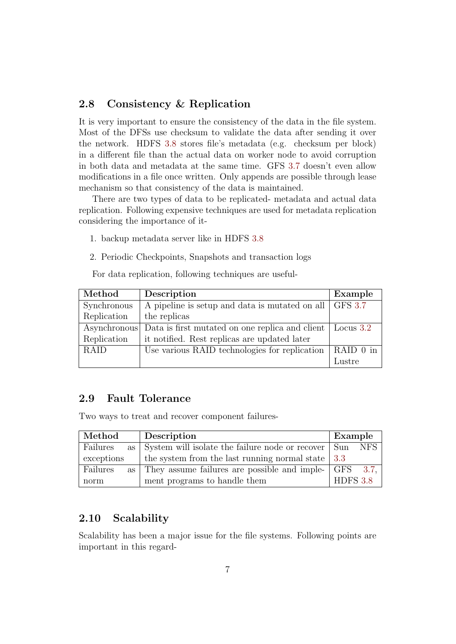#### <span id="page-7-0"></span>2.8 Consistency & Replication

It is very important to ensure the consistency of the data in the file system. Most of the DFSs use checksum to validate the data after sending it over the network. HDFS [3.8](#page-13-0) stores file's metadata (e.g. checksum per block) in a different file than the actual data on worker node to avoid corruption in both data and metadata at the same time. GFS [3.7](#page-12-1) doesn't even allow modifications in a file once written. Only appends are possible through lease mechanism so that consistency of the data is maintained.

There are two types of data to be replicated- metadata and actual data replication. Following expensive techniques are used for metadata replication considering the importance of it-

- 1. backup metadata server like in HDFS [3.8](#page-13-0)
- 2. Periodic Checkpoints, Snapshots and transaction logs

For data replication, following techniques are useful-

| Method       | Description                                                 | Example   |
|--------------|-------------------------------------------------------------|-----------|
| Synchronous  | A pipeline is setup and data is mutated on all GFS 3.7      |           |
| Replication  | the replicas                                                |           |
| Asynchronous | Data is first mutated on one replica and client   Locus 3.2 |           |
| Replication  | it notified. Rest replicas are updated later                |           |
| <b>RAID</b>  | Use various RAID technologies for replication               | RAID 0 in |
|              |                                                             | Lustre    |

#### <span id="page-7-1"></span>2.9 Fault Tolerance

Two ways to treat and recover component failures-

| Method                      | Description                                                            | Example         |
|-----------------------------|------------------------------------------------------------------------|-----------------|
| Failures                    | as $\vert$ System will isolate the failure node or recover $\vert$ Sun | NFS             |
| exceptions                  | the system from the last running normal state $\vert 3.3 \rangle$      |                 |
| Failures<br>as <sub>1</sub> | They assume failures are possible and imple- GFS                       | - 3.7.          |
| norm                        | ment programs to handle them                                           | <b>HDFS 3.8</b> |

#### <span id="page-7-2"></span>2.10 Scalability

Scalability has been a major issue for the file systems. Following points are important in this regard-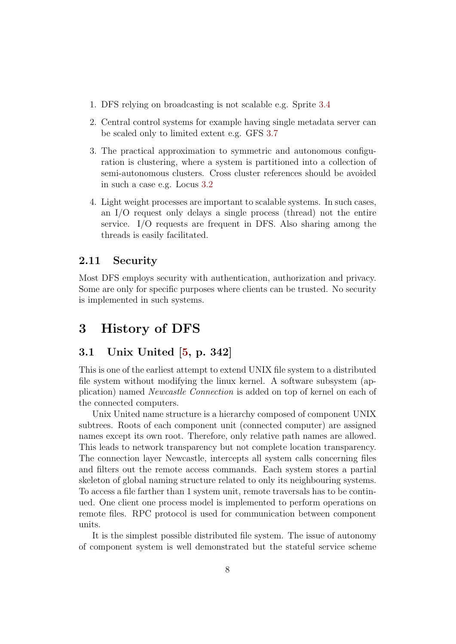- 1. DFS relying on broadcasting is not scalable e.g. Sprite [3.4](#page-11-0)
- 2. Central control systems for example having single metadata server can be scaled only to limited extent e.g. GFS [3.7](#page-12-1)
- 3. The practical approximation to symmetric and autonomous configuration is clustering, where a system is partitioned into a collection of semi-autonomous clusters. Cross cluster references should be avoided in such a case e.g. Locus [3.2](#page-9-0)
- 4. Light weight processes are important to scalable systems. In such cases, an I/O request only delays a single process (thread) not the entire service. I/O requests are frequent in DFS. Also sharing among the threads is easily facilitated.

#### <span id="page-8-0"></span>2.11 Security

Most DFS employs security with authentication, authorization and privacy. Some are only for specific purposes where clients can be trusted. No security is implemented in such systems.

## <span id="page-8-1"></span>3 History of DFS

#### <span id="page-8-2"></span>3.1 Unix United [\[5,](#page-23-0) p. 342]

This is one of the earliest attempt to extend UNIX file system to a distributed file system without modifying the linux kernel. A software subsystem (application) named Newcastle Connection is added on top of kernel on each of the connected computers.

Unix United name structure is a hierarchy composed of component UNIX subtrees. Roots of each component unit (connected computer) are assigned names except its own root. Therefore, only relative path names are allowed. This leads to network transparency but not complete location transparency. The connection layer Newcastle, intercepts all system calls concerning files and filters out the remote access commands. Each system stores a partial skeleton of global naming structure related to only its neighbouring systems. To access a file farther than 1 system unit, remote traversals has to be continued. One client one process model is implemented to perform operations on remote files. RPC protocol is used for communication between component units.

It is the simplest possible distributed file system. The issue of autonomy of component system is well demonstrated but the stateful service scheme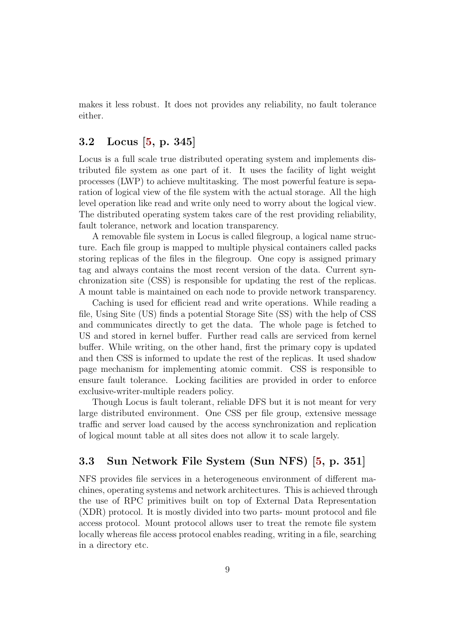makes it less robust. It does not provides any reliability, no fault tolerance either.

#### <span id="page-9-0"></span>3.2 Locus [\[5,](#page-23-0) p. 345]

Locus is a full scale true distributed operating system and implements distributed file system as one part of it. It uses the facility of light weight processes (LWP) to achieve multitasking. The most powerful feature is separation of logical view of the file system with the actual storage. All the high level operation like read and write only need to worry about the logical view. The distributed operating system takes care of the rest providing reliability, fault tolerance, network and location transparency.

A removable file system in Locus is called filegroup, a logical name structure. Each file group is mapped to multiple physical containers called packs storing replicas of the files in the filegroup. One copy is assigned primary tag and always contains the most recent version of the data. Current synchronization site (CSS) is responsible for updating the rest of the replicas. A mount table is maintained on each node to provide network transparency.

Caching is used for efficient read and write operations. While reading a file, Using Site (US) finds a potential Storage Site (SS) with the help of CSS and communicates directly to get the data. The whole page is fetched to US and stored in kernel buffer. Further read calls are serviced from kernel buffer. While writing, on the other hand, first the primary copy is updated and then CSS is informed to update the rest of the replicas. It used shadow page mechanism for implementing atomic commit. CSS is responsible to ensure fault tolerance. Locking facilities are provided in order to enforce exclusive-writer-multiple readers policy.

Though Locus is fault tolerant, reliable DFS but it is not meant for very large distributed environment. One CSS per file group, extensive message traffic and server load caused by the access synchronization and replication of logical mount table at all sites does not allow it to scale largely.

#### <span id="page-9-1"></span>3.3 Sun Network File System (Sun NFS) [\[5,](#page-23-0) p. 351]

NFS provides file services in a heterogeneous environment of different machines, operating systems and network architectures. This is achieved through the use of RPC primitives built on top of External Data Representation (XDR) protocol. It is mostly divided into two parts- mount protocol and file access protocol. Mount protocol allows user to treat the remote file system locally whereas file access protocol enables reading, writing in a file, searching in a directory etc.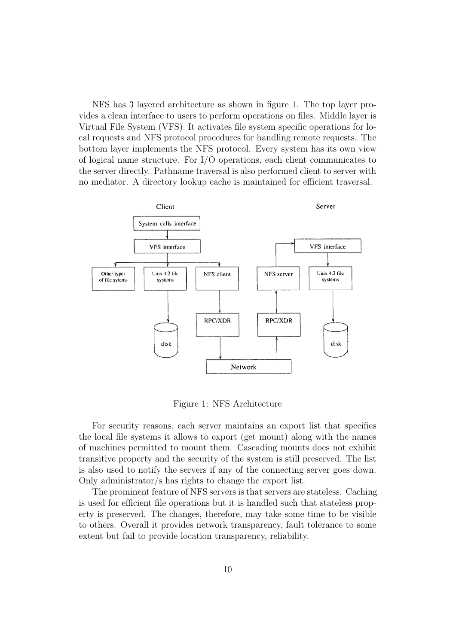NFS has 3 layered architecture as shown in figure [1.](#page-10-0) The top layer provides a clean interface to users to perform operations on files. Middle layer is Virtual File System (VFS). It activates file system specific operations for local requests and NFS protocol procedures for handling remote requests. The bottom layer implements the NFS protocol. Every system has its own view of logical name structure. For I/O operations, each client communicates to the server directly. Pathname traversal is also performed client to server with no mediator. A directory lookup cache is maintained for efficient traversal.



<span id="page-10-0"></span>Figure 1: NFS Architecture

For security reasons, each server maintains an export list that specifies the local file systems it allows to export (get mount) along with the names of machines permitted to mount them. Cascading mounts does not exhibit transitive property and the security of the system is still preserved. The list is also used to notify the servers if any of the connecting server goes down. Only administrator/s has rights to change the export list.

The prominent feature of NFS servers is that servers are stateless. Caching is used for efficient file operations but it is handled such that stateless property is preserved. The changes, therefore, may take some time to be visible to others. Overall it provides network transparency, fault tolerance to some extent but fail to provide location transparency, reliability.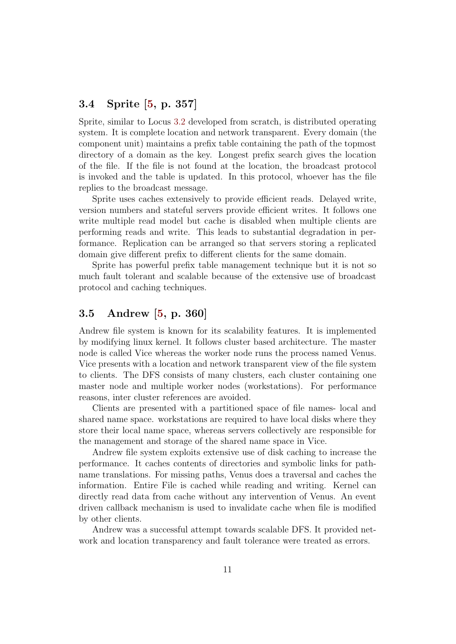#### <span id="page-11-0"></span>3.4 Sprite [\[5,](#page-23-0) p. 357]

Sprite, similar to Locus [3.2](#page-9-0) developed from scratch, is distributed operating system. It is complete location and network transparent. Every domain (the component unit) maintains a prefix table containing the path of the topmost directory of a domain as the key. Longest prefix search gives the location of the file. If the file is not found at the location, the broadcast protocol is invoked and the table is updated. In this protocol, whoever has the file replies to the broadcast message.

Sprite uses caches extensively to provide efficient reads. Delayed write, version numbers and stateful servers provide efficient writes. It follows one write multiple read model but cache is disabled when multiple clients are performing reads and write. This leads to substantial degradation in performance. Replication can be arranged so that servers storing a replicated domain give different prefix to different clients for the same domain.

Sprite has powerful prefix table management technique but it is not so much fault tolerant and scalable because of the extensive use of broadcast protocol and caching techniques.

#### <span id="page-11-1"></span>3.5 Andrew [\[5,](#page-23-0) p. 360]

Andrew file system is known for its scalability features. It is implemented by modifying linux kernel. It follows cluster based architecture. The master node is called Vice whereas the worker node runs the process named Venus. Vice presents with a location and network transparent view of the file system to clients. The DFS consists of many clusters, each cluster containing one master node and multiple worker nodes (workstations). For performance reasons, inter cluster references are avoided.

Clients are presented with a partitioned space of file names- local and shared name space. workstations are required to have local disks where they store their local name space, whereas servers collectively are responsible for the management and storage of the shared name space in Vice.

Andrew file system exploits extensive use of disk caching to increase the performance. It caches contents of directories and symbolic links for pathname translations. For missing paths, Venus does a traversal and caches the information. Entire File is cached while reading and writing. Kernel can directly read data from cache without any intervention of Venus. An event driven callback mechanism is used to invalidate cache when file is modified by other clients.

Andrew was a successful attempt towards scalable DFS. It provided network and location transparency and fault tolerance were treated as errors.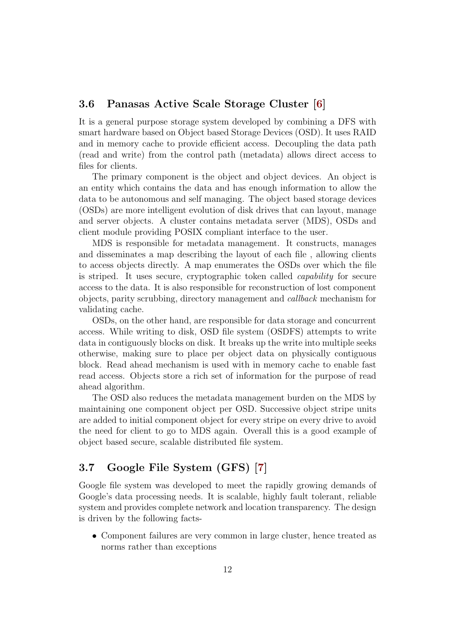#### <span id="page-12-0"></span>3.6 Panasas Active Scale Storage Cluster [\[6\]](#page-23-1)

It is a general purpose storage system developed by combining a DFS with smart hardware based on Object based Storage Devices (OSD). It uses RAID and in memory cache to provide efficient access. Decoupling the data path (read and write) from the control path (metadata) allows direct access to files for clients.

The primary component is the object and object devices. An object is an entity which contains the data and has enough information to allow the data to be autonomous and self managing. The object based storage devices (OSDs) are more intelligent evolution of disk drives that can layout, manage and server objects. A cluster contains metadata server (MDS), OSDs and client module providing POSIX compliant interface to the user.

MDS is responsible for metadata management. It constructs, manages and disseminates a map describing the layout of each file , allowing clients to access objects directly. A map enumerates the OSDs over which the file is striped. It uses secure, cryptographic token called capability for secure access to the data. It is also responsible for reconstruction of lost component objects, parity scrubbing, directory management and callback mechanism for validating cache.

OSDs, on the other hand, are responsible for data storage and concurrent access. While writing to disk, OSD file system (OSDFS) attempts to write data in contiguously blocks on disk. It breaks up the write into multiple seeks otherwise, making sure to place per object data on physically contiguous block. Read ahead mechanism is used with in memory cache to enable fast read access. Objects store a rich set of information for the purpose of read ahead algorithm.

The OSD also reduces the metadata management burden on the MDS by maintaining one component object per OSD. Successive object stripe units are added to initial component object for every stripe on every drive to avoid the need for client to go to MDS again. Overall this is a good example of object based secure, scalable distributed file system.

#### <span id="page-12-1"></span>3.7 Google File System (GFS) [\[7\]](#page-23-2)

Google file system was developed to meet the rapidly growing demands of Google's data processing needs. It is scalable, highly fault tolerant, reliable system and provides complete network and location transparency. The design is driven by the following facts-

• Component failures are very common in large cluster, hence treated as norms rather than exceptions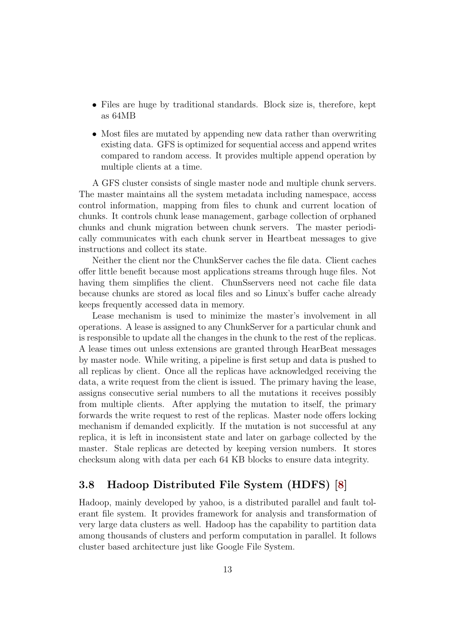- Files are huge by traditional standards. Block size is, therefore, kept as 64MB
- Most files are mutated by appending new data rather than overwriting existing data. GFS is optimized for sequential access and append writes compared to random access. It provides multiple append operation by multiple clients at a time.

A GFS cluster consists of single master node and multiple chunk servers. The master maintains all the system metadata including namespace, access control information, mapping from files to chunk and current location of chunks. It controls chunk lease management, garbage collection of orphaned chunks and chunk migration between chunk servers. The master periodically communicates with each chunk server in Heartbeat messages to give instructions and collect its state.

Neither the client nor the ChunkServer caches the file data. Client caches offer little benefit because most applications streams through huge files. Not having them simplifies the client. ChunSservers need not cache file data because chunks are stored as local files and so Linux's buffer cache already keeps frequently accessed data in memory.

Lease mechanism is used to minimize the master's involvement in all operations. A lease is assigned to any ChunkServer for a particular chunk and is responsible to update all the changes in the chunk to the rest of the replicas. A lease times out unless extensions are granted through HearBeat messages by master node. While writing, a pipeline is first setup and data is pushed to all replicas by client. Once all the replicas have acknowledged receiving the data, a write request from the client is issued. The primary having the lease, assigns consecutive serial numbers to all the mutations it receives possibly from multiple clients. After applying the mutation to itself, the primary forwards the write request to rest of the replicas. Master node offers locking mechanism if demanded explicitly. If the mutation is not successful at any replica, it is left in inconsistent state and later on garbage collected by the master. Stale replicas are detected by keeping version numbers. It stores checksum along with data per each 64 KB blocks to ensure data integrity.

#### <span id="page-13-0"></span>3.8 Hadoop Distributed File System (HDFS) [\[8\]](#page-23-3)

Hadoop, mainly developed by yahoo, is a distributed parallel and fault tolerant file system. It provides framework for analysis and transformation of very large data clusters as well. Hadoop has the capability to partition data among thousands of clusters and perform computation in parallel. It follows cluster based architecture just like Google File System.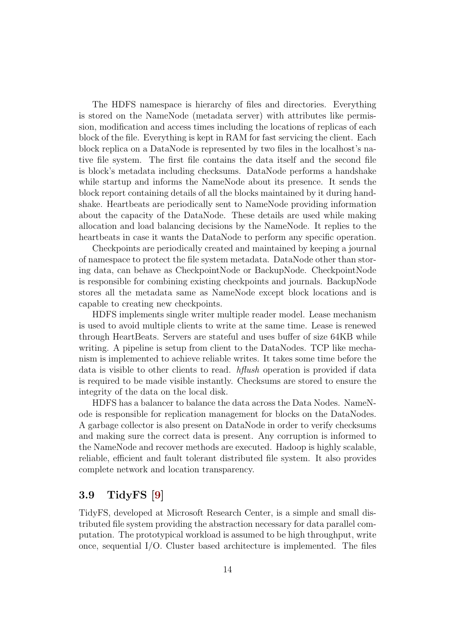The HDFS namespace is hierarchy of files and directories. Everything is stored on the NameNode (metadata server) with attributes like permission, modification and access times including the locations of replicas of each block of the file. Everything is kept in RAM for fast servicing the client. Each block replica on a DataNode is represented by two files in the localhost's native file system. The first file contains the data itself and the second file is block's metadata including checksums. DataNode performs a handshake while startup and informs the NameNode about its presence. It sends the block report containing details of all the blocks maintained by it during handshake. Heartbeats are periodically sent to NameNode providing information about the capacity of the DataNode. These details are used while making allocation and load balancing decisions by the NameNode. It replies to the heartbeats in case it wants the DataNode to perform any specific operation.

Checkpoints are periodically created and maintained by keeping a journal of namespace to protect the file system metadata. DataNode other than storing data, can behave as CheckpointNode or BackupNode. CheckpointNode is responsible for combining existing checkpoints and journals. BackupNode stores all the metadata same as NameNode except block locations and is capable to creating new checkpoints.

HDFS implements single writer multiple reader model. Lease mechanism is used to avoid multiple clients to write at the same time. Lease is renewed through HeartBeats. Servers are stateful and uses buffer of size 64KB while writing. A pipeline is setup from client to the DataNodes. TCP like mechanism is implemented to achieve reliable writes. It takes some time before the data is visible to other clients to read. hflush operation is provided if data is required to be made visible instantly. Checksums are stored to ensure the integrity of the data on the local disk.

HDFS has a balancer to balance the data across the Data Nodes. NameNode is responsible for replication management for blocks on the DataNodes. A garbage collector is also present on DataNode in order to verify checksums and making sure the correct data is present. Any corruption is informed to the NameNode and recover methods are executed. Hadoop is highly scalable, reliable, efficient and fault tolerant distributed file system. It also provides complete network and location transparency.

#### <span id="page-14-0"></span>3.9 TidyFS [\[9\]](#page-24-0)

TidyFS, developed at Microsoft Research Center, is a simple and small distributed file system providing the abstraction necessary for data parallel computation. The prototypical workload is assumed to be high throughput, write once, sequential I/O. Cluster based architecture is implemented. The files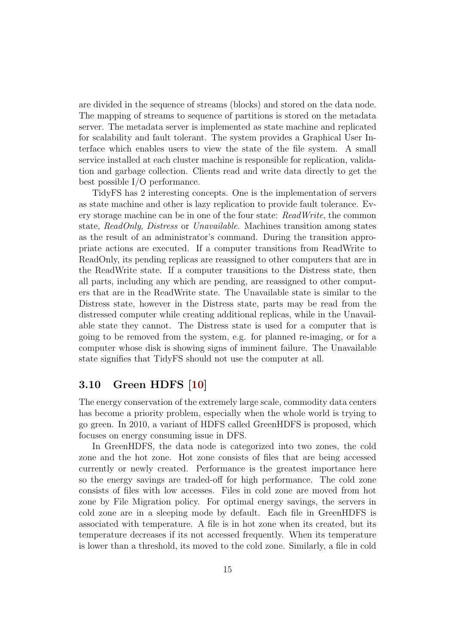are divided in the sequence of streams (blocks) and stored on the data node. The mapping of streams to sequence of partitions is stored on the metadata server. The metadata server is implemented as state machine and replicated for scalability and fault tolerant. The system provides a Graphical User Interface which enables users to view the state of the file system. A small service installed at each cluster machine is responsible for replication, validation and garbage collection. Clients read and write data directly to get the best possible I/O performance.

TidyFS has 2 interesting concepts. One is the implementation of servers as state machine and other is lazy replication to provide fault tolerance. Every storage machine can be in one of the four state: ReadWrite, the common state, ReadOnly, Distress or Unavailable. Machines transition among states as the result of an administrator's command. During the transition appropriate actions are executed. If a computer transitions from ReadWrite to ReadOnly, its pending replicas are reassigned to other computers that are in the ReadWrite state. If a computer transitions to the Distress state, then all parts, including any which are pending, are reassigned to other computers that are in the ReadWrite state. The Unavailable state is similar to the Distress state, however in the Distress state, parts may be read from the distressed computer while creating additional replicas, while in the Unavailable state they cannot. The Distress state is used for a computer that is going to be removed from the system, e.g. for planned re-imaging, or for a computer whose disk is showing signs of imminent failure. The Unavailable state signifies that TidyFS should not use the computer at all.

#### <span id="page-15-0"></span>3.10 Green HDFS [\[10\]](#page-24-1)

The energy conservation of the extremely large scale, commodity data centers has become a priority problem, especially when the whole world is trying to go green. In 2010, a variant of HDFS called GreenHDFS is proposed, which focuses on energy consuming issue in DFS.

In GreenHDFS, the data node is categorized into two zones, the cold zone and the hot zone. Hot zone consists of files that are being accessed currently or newly created. Performance is the greatest importance here so the energy savings are traded-off for high performance. The cold zone consists of files with low accesses. Files in cold zone are moved from hot zone by File Migration policy. For optimal energy savings, the servers in cold zone are in a sleeping mode by default. Each file in GreenHDFS is associated with temperature. A file is in hot zone when its created, but its temperature decreases if its not accessed frequently. When its temperature is lower than a threshold, its moved to the cold zone. Similarly, a file in cold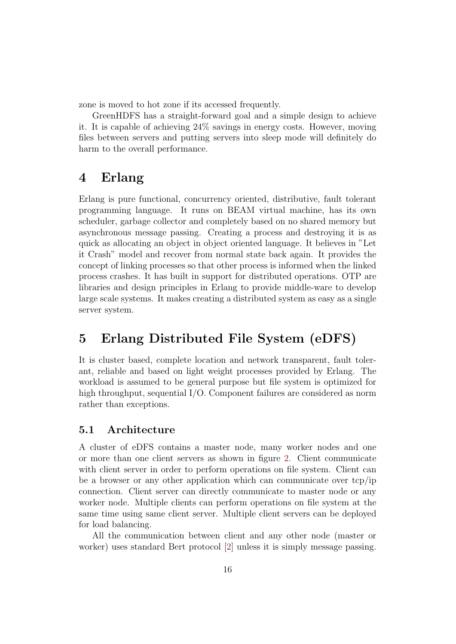zone is moved to hot zone if its accessed frequently.

GreenHDFS has a straight-forward goal and a simple design to achieve it. It is capable of achieving 24% savings in energy costs. However, moving files between servers and putting servers into sleep mode will definitely do harm to the overall performance.

## <span id="page-16-0"></span>4 Erlang

Erlang is pure functional, concurrency oriented, distributive, fault tolerant programming language. It runs on BEAM virtual machine, has its own scheduler, garbage collector and completely based on no shared memory but asynchronous message passing. Creating a process and destroying it is as quick as allocating an object in object oriented language. It believes in "Let it Crash" model and recover from normal state back again. It provides the concept of linking processes so that other process is informed when the linked process crashes. It has built in support for distributed operations. OTP are libraries and design principles in Erlang to provide middle-ware to develop large scale systems. It makes creating a distributed system as easy as a single server system.

## <span id="page-16-1"></span>5 Erlang Distributed File System (eDFS)

It is cluster based, complete location and network transparent, fault tolerant, reliable and based on light weight processes provided by Erlang. The workload is assumed to be general purpose but file system is optimized for high throughput, sequential I/O. Component failures are considered as norm rather than exceptions.

#### <span id="page-16-2"></span>5.1 Architecture

A cluster of eDFS contains a master node, many worker nodes and one or more than one client servers as shown in figure [2.](#page-17-1) Client communicate with client server in order to perform operations on file system. Client can be a browser or any other application which can communicate over tcp/ip connection. Client server can directly communicate to master node or any worker node. Multiple clients can perform operations on file system at the same time using same client server. Multiple client servers can be deployed for load balancing.

All the communication between client and any other node (master or worker) uses standard Bert protocol [\[2\]](#page-23-8) unless it is simply message passing.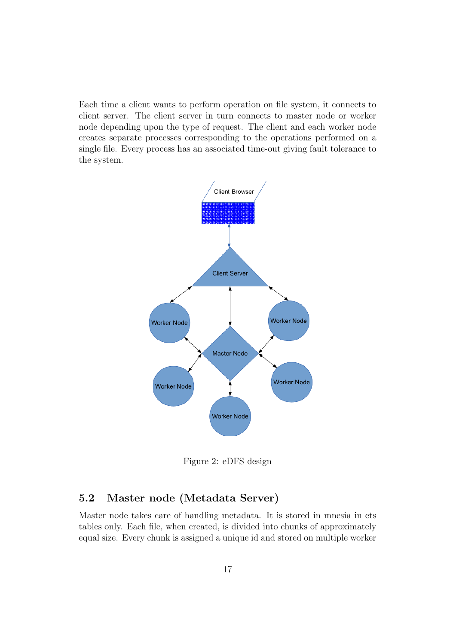Each time a client wants to perform operation on file system, it connects to client server. The client server in turn connects to master node or worker node depending upon the type of request. The client and each worker node creates separate processes corresponding to the operations performed on a single file. Every process has an associated time-out giving fault tolerance to the system.



<span id="page-17-1"></span>Figure 2: eDFS design

### <span id="page-17-0"></span>5.2 Master node (Metadata Server)

Master node takes care of handling metadata. It is stored in mnesia in ets tables only. Each file, when created, is divided into chunks of approximately equal size. Every chunk is assigned a unique id and stored on multiple worker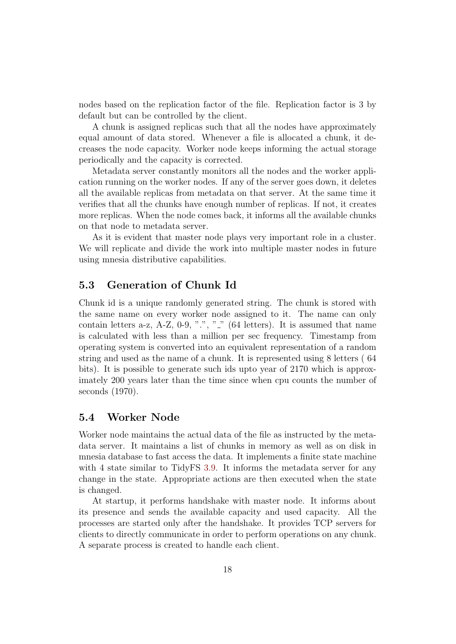nodes based on the replication factor of the file. Replication factor is 3 by default but can be controlled by the client.

A chunk is assigned replicas such that all the nodes have approximately equal amount of data stored. Whenever a file is allocated a chunk, it decreases the node capacity. Worker node keeps informing the actual storage periodically and the capacity is corrected.

Metadata server constantly monitors all the nodes and the worker application running on the worker nodes. If any of the server goes down, it deletes all the available replicas from metadata on that server. At the same time it verifies that all the chunks have enough number of replicas. If not, it creates more replicas. When the node comes back, it informs all the available chunks on that node to metadata server.

As it is evident that master node plays very important role in a cluster. We will replicate and divide the work into multiple master nodes in future using mnesia distributive capabilities.

#### <span id="page-18-0"></span>5.3 Generation of Chunk Id

Chunk id is a unique randomly generated string. The chunk is stored with the same name on every worker node assigned to it. The name can only contain letters a-z, A-Z, 0-9, ".", "..."  $(64 \text{ letters})$ . It is assumed that name is calculated with less than a million per sec frequency. Timestamp from operating system is converted into an equivalent representation of a random string and used as the name of a chunk. It is represented using 8 letters ( 64 bits). It is possible to generate such ids upto year of 2170 which is approximately 200 years later than the time since when cpu counts the number of seconds (1970).

#### <span id="page-18-1"></span>5.4 Worker Node

Worker node maintains the actual data of the file as instructed by the metadata server. It maintains a list of chunks in memory as well as on disk in mnesia database to fast access the data. It implements a finite state machine with 4 state similar to TidyFS [3.9.](#page-14-0) It informs the metadata server for any change in the state. Appropriate actions are then executed when the state is changed.

At startup, it performs handshake with master node. It informs about its presence and sends the available capacity and used capacity. All the processes are started only after the handshake. It provides TCP servers for clients to directly communicate in order to perform operations on any chunk. A separate process is created to handle each client.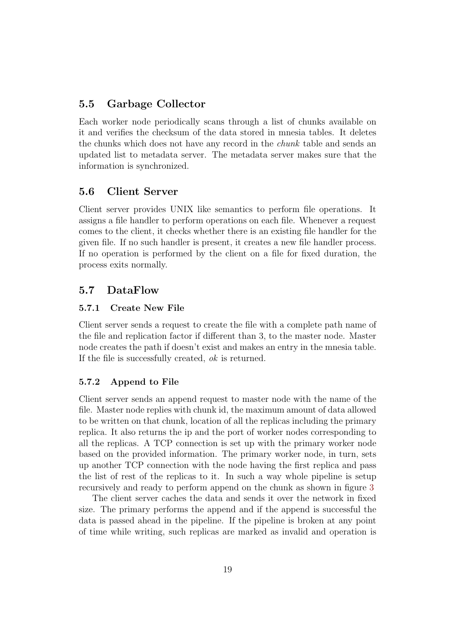#### <span id="page-19-0"></span>5.5 Garbage Collector

Each worker node periodically scans through a list of chunks available on it and verifies the checksum of the data stored in mnesia tables. It deletes the chunks which does not have any record in the chunk table and sends an updated list to metadata server. The metadata server makes sure that the information is synchronized.

#### <span id="page-19-1"></span>5.6 Client Server

Client server provides UNIX like semantics to perform file operations. It assigns a file handler to perform operations on each file. Whenever a request comes to the client, it checks whether there is an existing file handler for the given file. If no such handler is present, it creates a new file handler process. If no operation is performed by the client on a file for fixed duration, the process exits normally.

#### <span id="page-19-2"></span>5.7 DataFlow

#### <span id="page-19-3"></span>5.7.1 Create New File

Client server sends a request to create the file with a complete path name of the file and replication factor if different than 3, to the master node. Master node creates the path if doesn't exist and makes an entry in the mnesia table. If the file is successfully created, ok is returned.

#### <span id="page-19-4"></span>5.7.2 Append to File

Client server sends an append request to master node with the name of the file. Master node replies with chunk id, the maximum amount of data allowed to be written on that chunk, location of all the replicas including the primary replica. It also returns the ip and the port of worker nodes corresponding to all the replicas. A TCP connection is set up with the primary worker node based on the provided information. The primary worker node, in turn, sets up another TCP connection with the node having the first replica and pass the list of rest of the replicas to it. In such a way whole pipeline is setup recursively and ready to perform append on the chunk as shown in figure [3](#page-20-2)

The client server caches the data and sends it over the network in fixed size. The primary performs the append and if the append is successful the data is passed ahead in the pipeline. If the pipeline is broken at any point of time while writing, such replicas are marked as invalid and operation is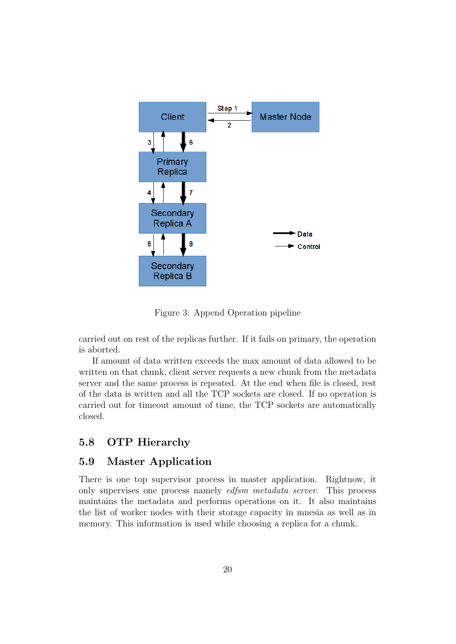

<span id="page-20-2"></span>Figure 3: Append Operation pipeline

carried out on rest of the replicas further. If it fails on primary, the operation is aborted.

If amount of data written exceeds the max amount of data allowed to be written on that chunk, client server requests a new chunk from the metadata server and the same process is repeated. At the end when file is closed, rest of the data is written and all the TCP sockets are closed. If no operation is carried out for timeout amount of time, the TCP sockets are automatically closed.

### <span id="page-20-0"></span>5.8 OTP Hierarchy

#### <span id="page-20-1"></span>5.9 Master Application

There is one top supervisor process in master application. Rightnow, it only supervises one process namely edfsm metadata server. This process maintains the metadata and performs operations on it. It also maintains the list of worker nodes with their storage capacity in mnesia as well as in memory. This information is used while choosing a replica for a chunk.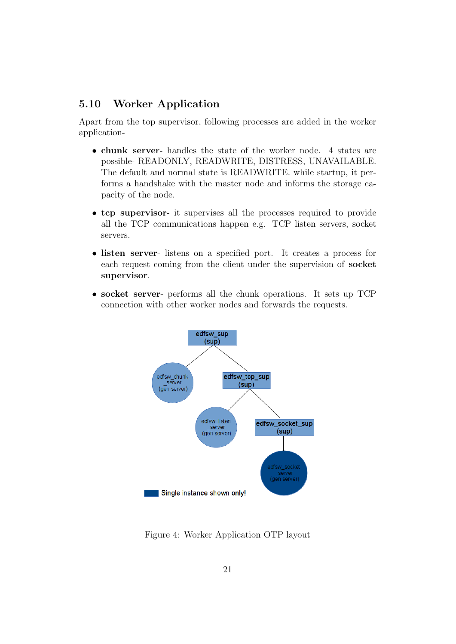#### <span id="page-21-0"></span>5.10 Worker Application

Apart from the top supervisor, following processes are added in the worker application-

- chunk server- handles the state of the worker node. 4 states are possible- READONLY, READWRITE, DISTRESS, UNAVAILABLE. The default and normal state is READWRITE. while startup, it performs a handshake with the master node and informs the storage capacity of the node.
- tcp supervisor- it supervises all the processes required to provide all the TCP communications happen e.g. TCP listen servers, socket servers.
- listen server- listens on a specified port. It creates a process for each request coming from the client under the supervision of socket supervisor.
- socket server- performs all the chunk operations. It sets up TCP connection with other worker nodes and forwards the requests.



Figure 4: Worker Application OTP layout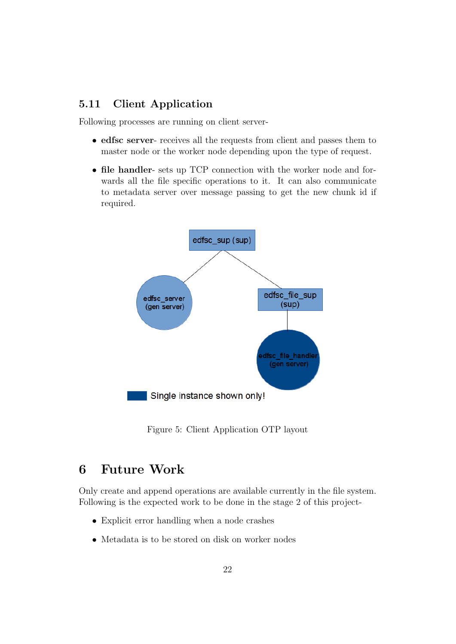#### <span id="page-22-0"></span>5.11 Client Application

Following processes are running on client server-

- edfsc server- receives all the requests from client and passes them to master node or the worker node depending upon the type of request.
- file handler- sets up TCP connection with the worker node and forwards all the file specific operations to it. It can also communicate to metadata server over message passing to get the new chunk id if required.



Figure 5: Client Application OTP layout

## <span id="page-22-1"></span>6 Future Work

Only create and append operations are available currently in the file system. Following is the expected work to be done in the stage 2 of this project-

- Explicit error handling when a node crashes
- Metadata is to be stored on disk on worker nodes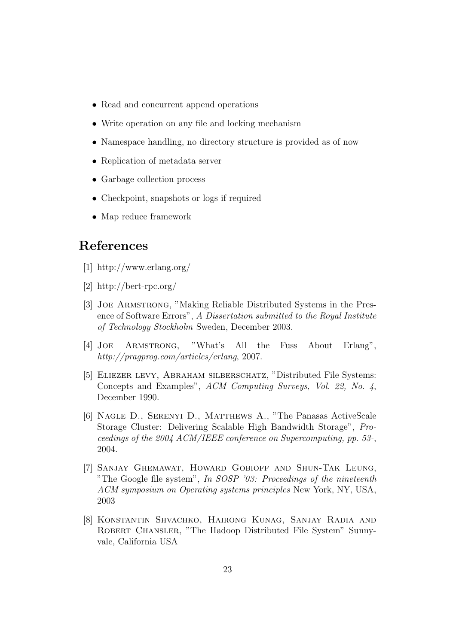- Read and concurrent append operations
- Write operation on any file and locking mechanism
- Namespace handling, no directory structure is provided as of now
- Replication of metadata server
- Garbage collection process
- Checkpoint, snapshots or logs if required
- Map reduce framework

## <span id="page-23-4"></span>References

- <span id="page-23-5"></span>[1] http://www.erlang.org/
- <span id="page-23-8"></span>[2] http://bert-rpc.org/
- <span id="page-23-6"></span>[3] Joe Armstrong, "Making Reliable Distributed Systems in the Presence of Software Errors", A Dissertation submitted to the Royal Institute of Technology Stockholm Sweden, December 2003.
- <span id="page-23-7"></span>[4] Joe Armstrong, "What's All the Fuss About Erlang", http://pragprog.com/articles/erlang, 2007.
- <span id="page-23-0"></span>[5] Eliezer levy, Abraham silberschatz, "Distributed File Systems: Concepts and Examples", ACM Computing Surveys, Vol. 22, No. 4, December 1990.
- <span id="page-23-1"></span>[6] Nagle D., Serenyi D., Matthews A., "The Panasas ActiveScale Storage Cluster: Delivering Scalable High Bandwidth Storage", Proceedings of the 2004 ACM/IEEE conference on Supercomputing, pp. 53-, 2004.
- <span id="page-23-2"></span>[7] Sanjay Ghemawat, Howard Gobioff and Shun-Tak Leung, "The Google file system", In SOSP '03: Proceedings of the nineteenth ACM symposium on Operating systems principles New York, NY, USA, 2003
- <span id="page-23-3"></span>[8] Konstantin Shvachko, Hairong Kunag, Sanjay Radia and ROBERT CHANSLER, "The Hadoop Distributed File System" Sunnyvale, California USA